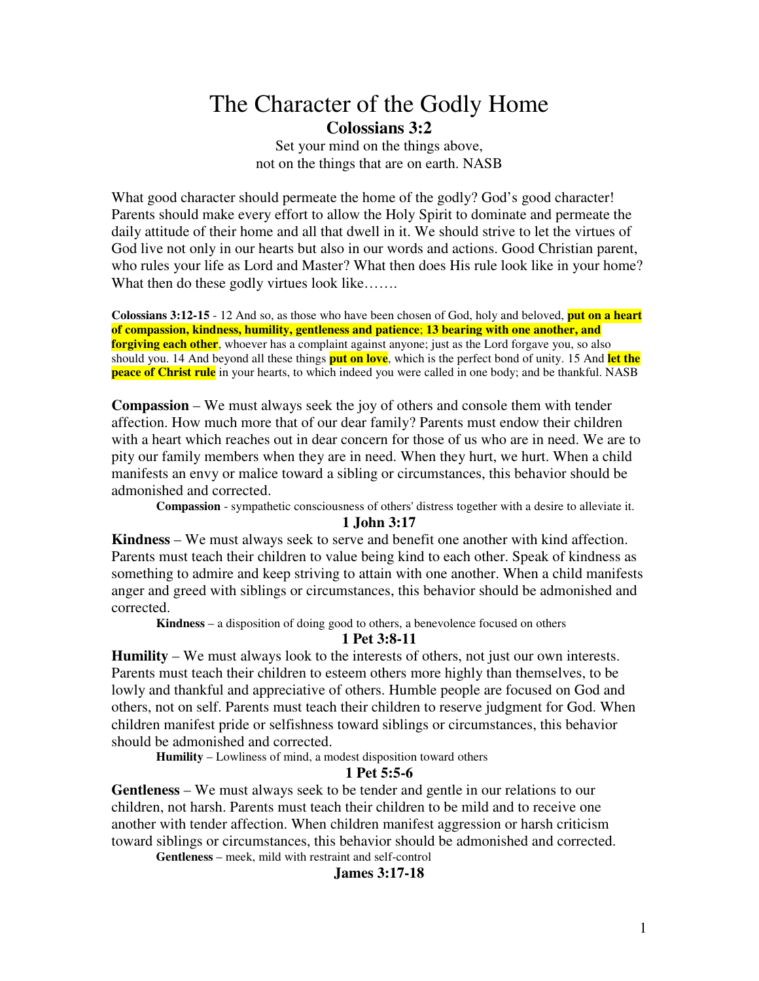# The Character of the Godly Home **Colossians 3:2**

Set your mind on the things above, not on the things that are on earth. NASB

What good character should permeate the home of the godly? God's good character! Parents should make every effort to allow the Holy Spirit to dominate and permeate the daily attitude of their home and all that dwell in it. We should strive to let the virtues of God live not only in our hearts but also in our words and actions. Good Christian parent, who rules your life as Lord and Master? What then does His rule look like in your home? What then do these godly virtues look like…….

**Colossians 3:12-15** - 12 And so, as those who have been chosen of God, holy and beloved, **put on a heart of compassion, kindness, humility, gentleness and patience**; **13 bearing with one another, and forgiving each other**, whoever has a complaint against anyone; just as the Lord forgave you, so also should you. 14 And beyond all these things **put on love**, which is the perfect bond of unity. 15 And **let the peace of Christ rule** in your hearts, to which indeed you were called in one body; and be thankful. NASB

**Compassion** – We must always seek the joy of others and console them with tender affection. How much more that of our dear family? Parents must endow their children with a heart which reaches out in dear concern for those of us who are in need. We are to pity our family members when they are in need. When they hurt, we hurt. When a child manifests an envy or malice toward a sibling or circumstances, this behavior should be admonished and corrected.

**Compassion** - sympathetic consciousness of others'distress together with a desire to alleviate it.

#### **1 John 3:17**

**Kindness** – We must always seek to serve and benefit one another with kind affection. Parents must teach their children to value being kind to each other. Speak of kindness as something to admire and keep striving to attain with one another. When a child manifests anger and greed with siblings or circumstances, this behavior should be admonished and corrected.

**Kindness** – a disposition of doing good to others, a benevolence focused on others

# **1 Pet 3:8-11**

**Humility** – We must always look to the interests of others, not just our own interests. Parents must teach their children to esteem others more highly than themselves, to be lowly and thankful and appreciative of others. Humble people are focused on God and others, not on self. Parents must teach their children to reserve judgment for God. When children manifest pride or selfishness toward siblings or circumstances, this behavior should be admonished and corrected.

**Humility** – Lowliness of mind, a modest disposition toward others

## **1 Pet 5:5-6**

**Gentleness** – We must always seek to be tender and gentle in our relations to our children, not harsh. Parents must teach their children to be mild and to receive one another with tender affection. When children manifest aggression or harsh criticism toward siblings or circumstances, this behavior should be admonished and corrected.

**Gentleness** – meek, mild with restraint and self-control

**James 3:17-18**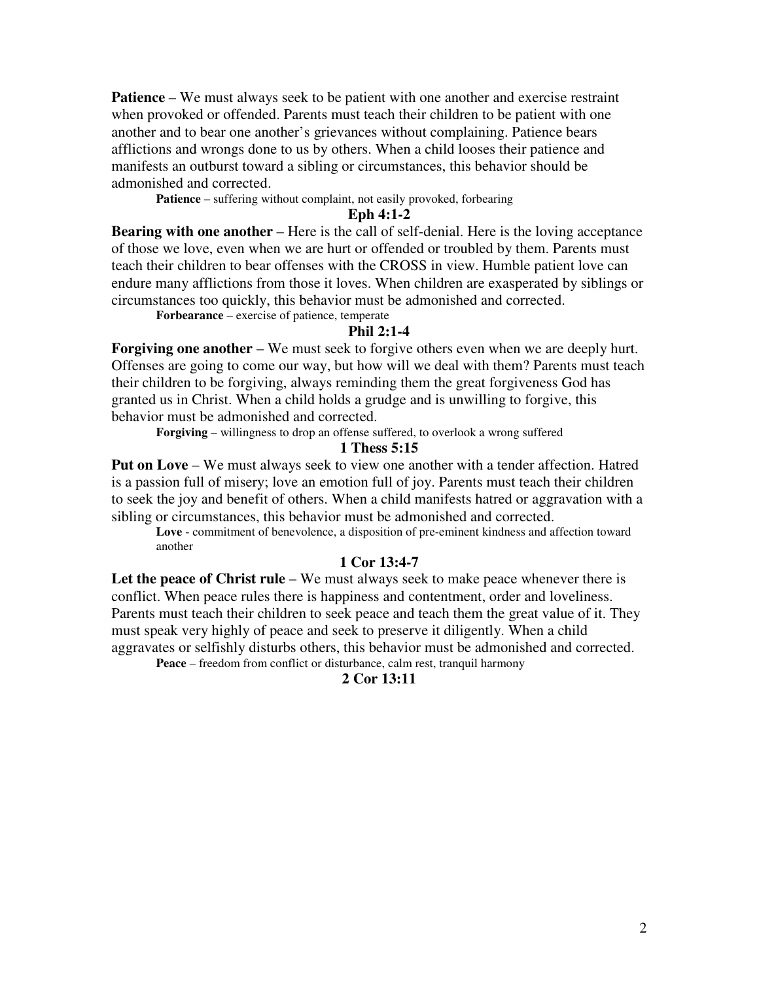**Patience** – We must always seek to be patient with one another and exercise restraint when provoked or offended. Parents must teach their children to be patient with one another and to bear one another's grievances without complaining. Patience bears afflictions and wrongs done to us by others. When a child looses their patience and manifests an outburst toward a sibling or circumstances, this behavior should be admonished and corrected.

Patience – suffering without complaint, not easily provoked, forbearing

## **Eph 4:1-2**

**Bearing with one another** – Here is the call of self-denial. Here is the loving acceptance of those we love, even when we are hurt or offended or troubled by them. Parents must teach their children to bear offenses with the CROSS in view. Humble patient love can endure many afflictions from those it loves. When children are exasperated by siblings or circumstances too quickly, this behavior must be admonished and corrected.

**Forbearance** – exercise of patience, temperate

#### **Phil 2:1-4**

**Forgiving one another** – We must seek to forgive others even when we are deeply hurt. Offenses are going to come our way, but how will we deal with them? Parents must teach their children to be forgiving, always reminding them the great forgiveness God has granted us in Christ. When a child holds a grudge and is unwilling to forgive, this behavior must be admonished and corrected.

**Forgiving** – willingness to drop an offense suffered, to overlook a wrong suffered

## **1 Thess 5:15**

**Put on Love** – We must always seek to view one another with a tender affection. Hatred is a passion full of misery; love an emotion full of joy. Parents must teach their children to seek the joy and benefit of others. When a child manifests hatred or aggravation with a sibling or circumstances, this behavior must be admonished and corrected.

**Love** - commitment of benevolence, a disposition of pre-eminent kindness and affection toward another

## **1 Cor 13:4-7**

**Let the peace of Christ rule** – We must always seek to make peace whenever there is conflict. When peace rules there is happiness and contentment, order and loveliness. Parents must teach their children to seek peace and teach them the great value of it. They must speak very highly of peace and seek to preserve it diligently. When a child aggravates or selfishly disturbs others, this behavior must be admonished and corrected.

**Peace** – freedom from conflict or disturbance, calm rest, tranquil harmony

# **2 Cor 13:11**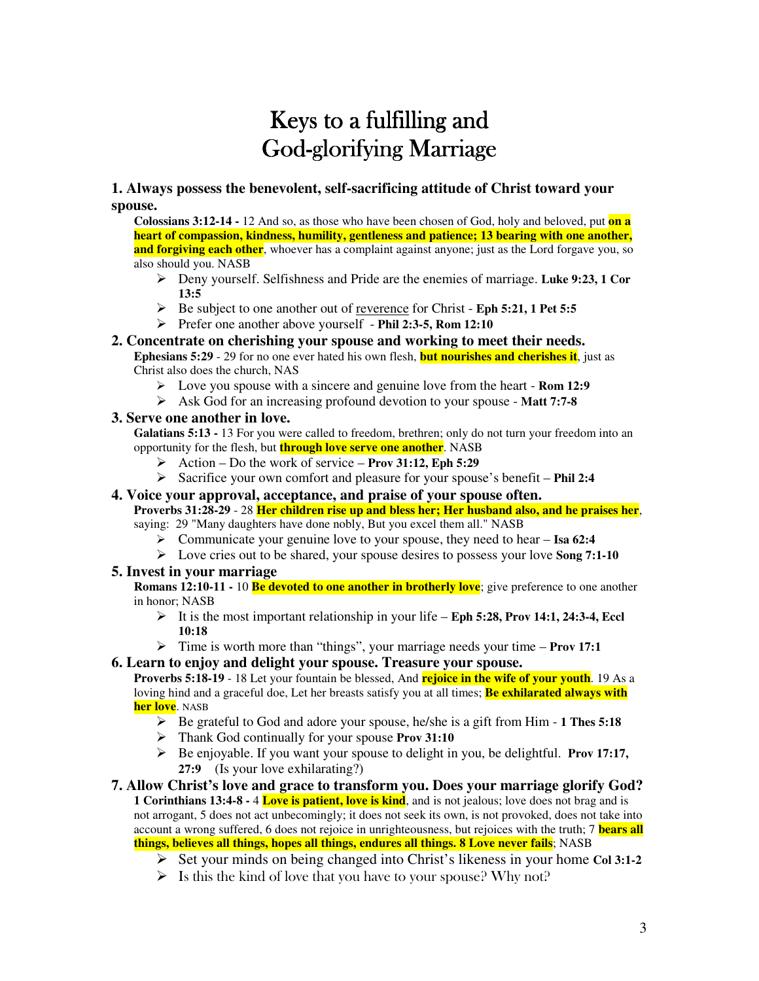# Keys to a fulfilling and **God-glorifying Marriage**

# **1. Always possess the benevolent, self-sacrificing attitude of Christ toward your spouse.**

**Colossians 3:12-14 -** 12 And so, as those who have been chosen of God, holy and beloved, put **on a heart of compassion, kindness, humility, gentleness and patience; 13 bearing with one another, and forgiving each other**, whoever has a complaint against anyone; just as the Lord forgave you, so also should you. NASB

- Deny yourself. Selfishness and Pride are the enemies of marriage. **Luke 9:23, 1 Cor 13:5**
- Be subject to one another out of reverence for Christ **Eph 5:21, 1 Pet 5:5**
- Prefer one another above yourself **Phil 2:3-5, Rom 12:10**

#### **2. Concentrate on cherishing your spouse and working to meet their needs. Ephesians 5:29** - 29 for no one ever hated his own flesh, **but nourishes and cherishes it**, just as Christ also does the church, NAS

- Love you spouse with a sincere and genuine love from the heart **Rom 12:9**
- Ask God for an increasing profound devotion to your spouse **Matt 7:7-8**

## **3. Serve one another in love.**

**Galatians 5:13 -** 13 For you were called to freedom, brethren; only do not turn your freedom into an opportunity for the flesh, but **through love serve one another**. NASB

- Action Do the work of service **Prov 31:12, Eph 5:29**
- Sacrifice your own comfort and pleasure for your spouse's benefit **Phil 2:4**
- **4. Voice your approval, acceptance, and praise of your spouse often.**

**Proverbs 31:28-29** - 28 **Her children rise up and bless her; Her husband also, and he praises her**, saying: 29 "Many daughters have done nobly, But you excel them all." NASB

- Communicate your genuine love to your spouse, they need to hear **Isa 62:4**
- Love cries out to be shared, your spouse desires to possess your love **Song 7:1-10**

## **5. Invest in your marriage**

**Romans 12:10-11 -** 10 **Be devoted to one another in brotherly love**; give preference to one another in honor; NASB

- $\triangleright$  It is the most important relationship in your life **Eph 5:28, Prov 14:1, 24:3-4, Eccl 10:18**
- Time is worth more than "things", your marriage needs your time **Prov 17:1**
- **6. Learn to enjoy and delight your spouse. Treasure your spouse.**

**Proverbs 5:18-19** - 18 Let your fountain be blessed, And **rejoice in the wife of your youth**. 19 As a loving hind and a graceful doe, Let her breasts satisfy you at all times; **Be exhilarated always with her love**. NASB

- Be grateful to God and adore your spouse, he/she is a gift from Him **1 Thes 5:18**
- Thank God continually for your spouse **Prov 31:10**
- Be enjoyable. If you want your spouse to delight in you, be delightful. **Prov 17:17, 27:9** (Is your love exhilarating?)

#### **7. Allow Christ's love and grace to transform you. Does your marriage glorify God? 1 Corinthians 13:4-8 -** 4 **Love is patient, love is kind**, and is not jealous; love does not brag and is not arrogant, 5 does not act unbecomingly; it does not seek its own, is not provoked, does not take into account a wrong suffered, 6 does not rejoice in unrighteousness, but rejoices with the truth; 7 **bears all things, believes all things, hopes all things, endures all things. 8 Love never fails**; NASB

- Set your minds on being changed into Christ's likeness in your home **Col 3:1-2**
- $\triangleright$  Is this the kind of love that you have to your spouse? Why not?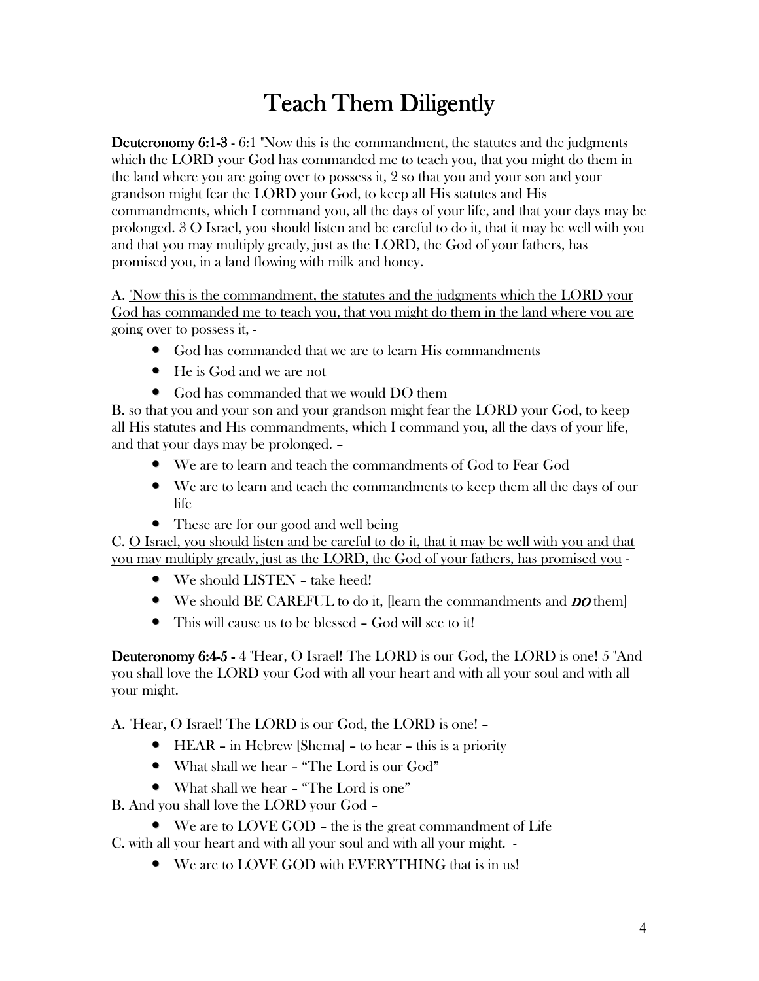# **Teach Them Diligently**

**Deuteronomy 6:1-3 - 6:1** "Now this is the commandment, the statutes and the judgments which the LORD your God has commanded me to teach you, that you might do them in the land where you are going over to possess it, 2 so that you and your son and your grandson might fear the LORD your God, to keep all His statutes and His commandments, which I command you, all the days of your life, and that your days may be prolonged. 3 O Israel, you should listen and be careful to do it, that it may be well with you and that you may multiply greatly, just as the LORD, the God of your fathers, has promised you, in a land flowing with milk and honey.

A. "Now this is the commandment, the statutes and the judgments which the LORD your God has commanded me to teach you, that you might do them in the land where you are going over to possess it, -

- God has commanded that we are to learn His commandments
- He is God and we are not
- God has commanded that we would DO them

B, so that you and your son and your grandson might fear the LORD your God, to keep all His statutes and His commandments, which I command you, all the days of your life, and that your days may be prolonged. -

- We are to learn and teach the commandments of God to Fear God
- We are to learn and teach the commandments to keep them all the days of our life
- These are for our good and well being

C. O Israel, you should listen and be careful to do it, that it may be well with you and that you may multiply greatly, just as the LORD, the God of your fathers, has promised you -

- We should LISTEN take heed!
- We should BE CAREFUL to do it, [learn the commandments and *DO* them]
- This will cause us to be blessed God will see to it!

**Deuteronomy 6:4-5 - 4 "Hear, O Israel! The LORD is our God, the LORD is one! 5 "And** you shall love the LORD your God with all your heart and with all your soul and with all your might.

A. "Hear, O Israel! The LORD is our God, the LORD is one! -

- $\bullet$  HEAR in Hebrew [Shema] to hear this is a priority
- What shall we hear "The Lord is our God"
- What shall we hear "The Lord is one"

B. And you shall love the LORD your God -

 $\bullet$  We are to LOVE GOD – the is the great commandment of Life

C. with all your heart and with all your soul and with all your might. -

• We are to LOVE GOD with EVERYTHING that is in us!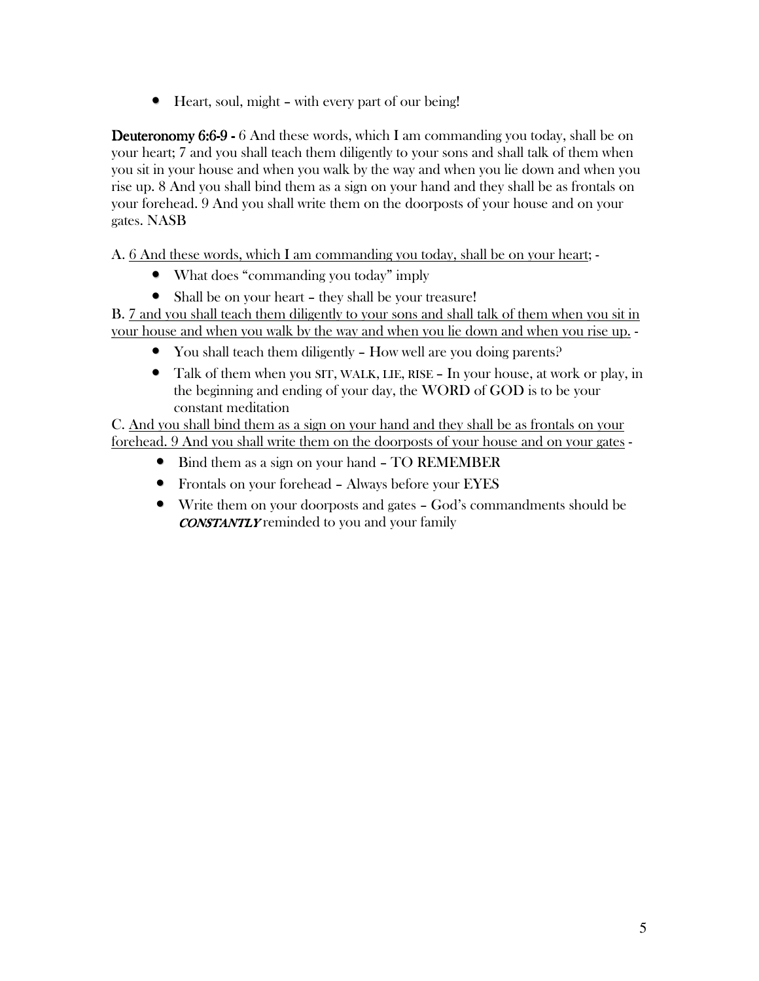• Heart, soul, might - with every part of our being!

**Deuteronomy 6:6-9 -** 6 And these words, which I am commanding you today, shall be on your heart: 7 and you shall teach them diligently to your sons and shall talk of them when you sit in your house and when you walk by the way and when you lie down and when you rise up. 8 And you shall bind them as a sign on your hand and they shall be as frontals on your forehead. 9 And you shall write them on the doorposts of your house and on your gates. NASB

A. 6 And these words, which I am commanding you today, shall be on your heart; -

- What does "commanding you today" imply
- Shall be on your heart they shall be your treasure!

B. 7 and you shall teach them diligently to your sons and shall talk of them when you sit in your house and when you walk by the way and when you lie down and when you rise up. -

- You shall teach them diligently  $-$  How well are you doing parents?
- Talk of them when you SIT, WALK, LIE, RISE In your house, at work or play, in the beginning and ending of your day, the WORD of GOD is to be your constant meditation

C. And you shall bind them as a sign on your hand and they shall be as frontals on your forehead. 9 And you shall write them on the doorposts of your house and on your gates -

- Bind them as a sign on your hand TO REMEMBER
- Frontals on your forehead Always before your EYES
- Write them on your doorposts and gates God's commandments should be **CONSTANTLY** reminded to you and your family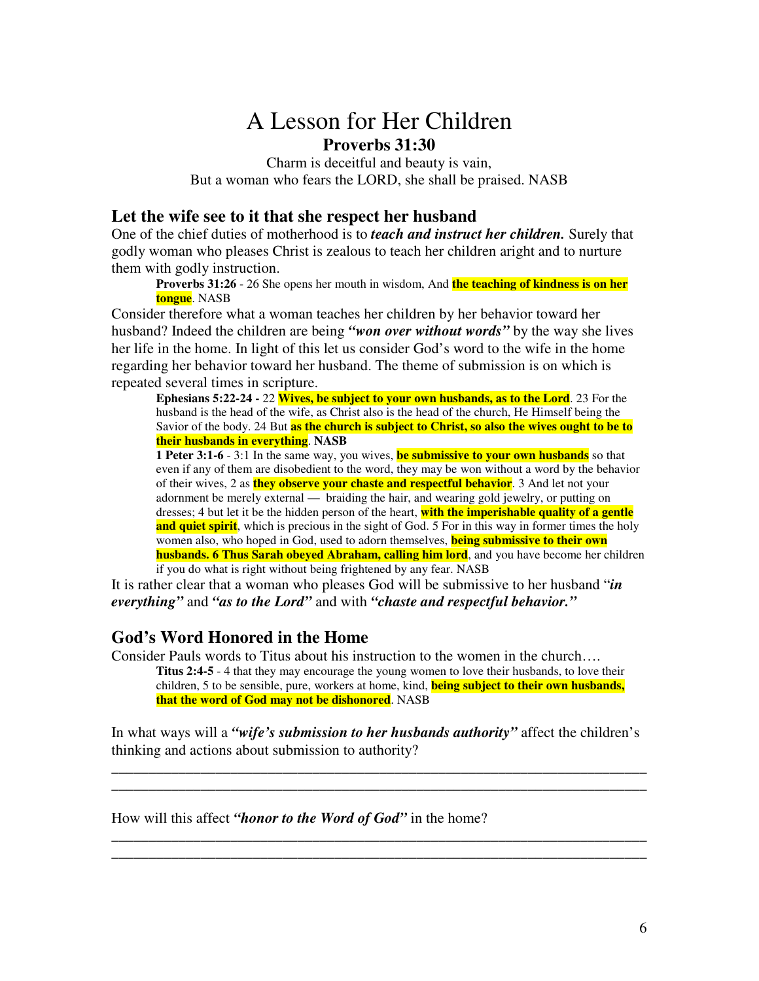# A Lesson for Her Children **Proverbs 31:30**

Charm is deceitful and beauty is vain, But a woman who fears the LORD, she shall be praised. NASB

# **Let the wife see to it that she respect her husband**

One of the chief duties of motherhood is to *teach and instruct her children.* Surely that godly woman who pleases Christ is zealous to teach her children aright and to nurture them with godly instruction.

**Proverbs 31:26** - 26 She opens her mouth in wisdom, And **the teaching of kindness is on her tongue**. NASB

Consider therefore what a woman teaches her children by her behavior toward her husband? Indeed the children are being *"won over without words"* by the way she lives her life in the home. In light of this let us consider God's word to the wife in the home regarding her behavior toward her husband. The theme of submission is on which is repeated several times in scripture.

**Ephesians 5:22-24 -** 22 **Wives, be subject to your own husbands, as to the Lord**. 23 For the husband is the head of the wife, as Christ also is the head of the church, He Himself being the Savior of the body. 24 But **as the church is subject to Christ, so also the wives ought to be to their husbands in everything**. **NASB**

**1 Peter 3:1-6** - 3:1 In the same way, you wives, **be submissive to your own husbands** so that even if any of them are disobedient to the word, they may be won without a word by the behavior of their wives, 2 as **they observe your chaste and respectful behavior**. 3 And let not your adornment be merely external — braiding the hair, and wearing gold jewelry, or putting on dresses; 4 but let it be the hidden person of the heart, **with the imperishable quality of a gentle and quiet spirit**, which is precious in the sight of God. 5 For in this way in former times the holy women also, who hoped in God, used to adorn themselves, **being submissive to their own husbands. 6 Thus Sarah obeyed Abraham, calling him lord**, and you have become her children if you do what is right without being frightened by any fear. NASB

It is rather clear that a woman who pleases God will be submissive to her husband "*in everything"* and *"as to the Lord"* and with *"chaste and respectful behavior."*

# **God's Word Honored in the Home**

Consider Pauls words to Titus about his instruction to the women in the church…. **Titus 2:4-5** - 4 that they may encourage the young women to love their husbands, to love their children, 5 to be sensible, pure, workers at home, kind, **being subject to their own husbands, that the word of God may not be dishonored**. NASB

In what ways will a *"wife's submission to her husbands authority"* affect the children's thinking and actions about submission to authority?

\_\_\_\_\_\_\_\_\_\_\_\_\_\_\_\_\_\_\_\_\_\_\_\_\_\_\_\_\_\_\_\_\_\_\_\_\_\_\_\_\_\_\_\_\_\_\_\_\_\_\_\_\_\_\_\_\_\_\_\_\_\_\_\_\_\_\_\_\_\_\_\_ \_\_\_\_\_\_\_\_\_\_\_\_\_\_\_\_\_\_\_\_\_\_\_\_\_\_\_\_\_\_\_\_\_\_\_\_\_\_\_\_\_\_\_\_\_\_\_\_\_\_\_\_\_\_\_\_\_\_\_\_\_\_\_\_\_\_\_\_\_\_\_\_

\_\_\_\_\_\_\_\_\_\_\_\_\_\_\_\_\_\_\_\_\_\_\_\_\_\_\_\_\_\_\_\_\_\_\_\_\_\_\_\_\_\_\_\_\_\_\_\_\_\_\_\_\_\_\_\_\_\_\_\_\_\_\_\_\_\_\_\_\_\_\_\_ \_\_\_\_\_\_\_\_\_\_\_\_\_\_\_\_\_\_\_\_\_\_\_\_\_\_\_\_\_\_\_\_\_\_\_\_\_\_\_\_\_\_\_\_\_\_\_\_\_\_\_\_\_\_\_\_\_\_\_\_\_\_\_\_\_\_\_\_\_\_\_\_

How will this affect *"honor to the Word of God"* in the home?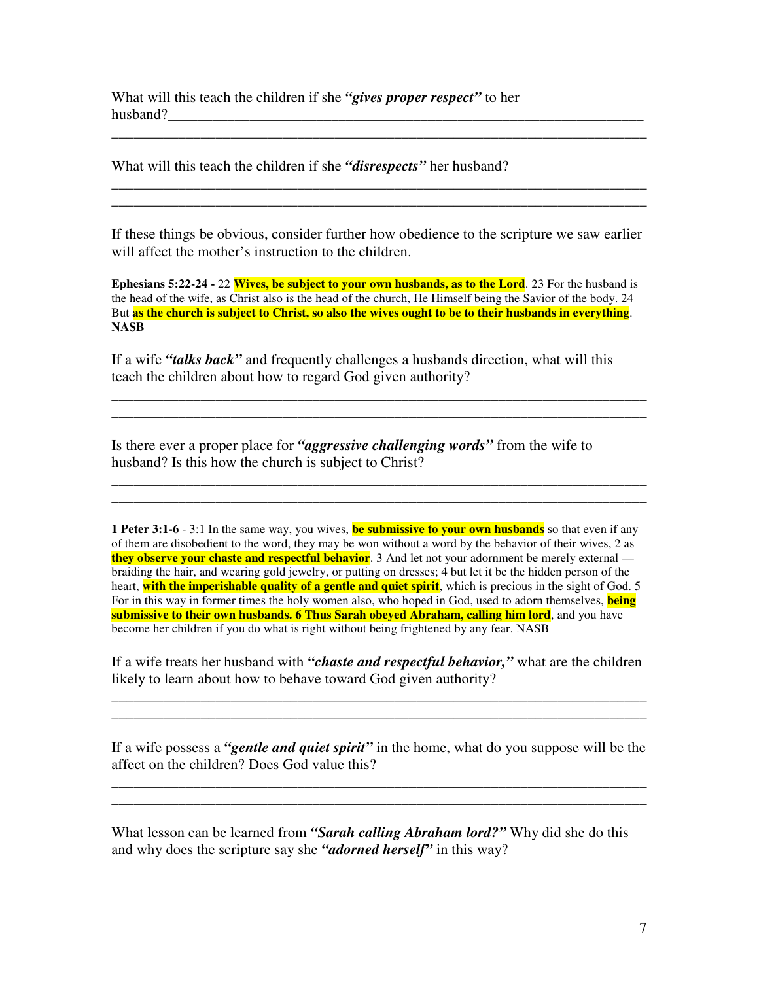What will this teach the children if she *"gives proper respect"* to her husband?

What will this teach the children if she *"disrespects"* her husband?

If these things be obvious, consider further how obedience to the scripture we saw earlier will affect the mother's instruction to the children.

\_\_\_\_\_\_\_\_\_\_\_\_\_\_\_\_\_\_\_\_\_\_\_\_\_\_\_\_\_\_\_\_\_\_\_\_\_\_\_\_\_\_\_\_\_\_\_\_\_\_\_\_\_\_\_\_\_\_\_\_\_\_\_\_\_\_\_\_\_\_\_\_

\_\_\_\_\_\_\_\_\_\_\_\_\_\_\_\_\_\_\_\_\_\_\_\_\_\_\_\_\_\_\_\_\_\_\_\_\_\_\_\_\_\_\_\_\_\_\_\_\_\_\_\_\_\_\_\_\_\_\_\_\_\_\_\_\_\_\_\_\_\_\_\_ \_\_\_\_\_\_\_\_\_\_\_\_\_\_\_\_\_\_\_\_\_\_\_\_\_\_\_\_\_\_\_\_\_\_\_\_\_\_\_\_\_\_\_\_\_\_\_\_\_\_\_\_\_\_\_\_\_\_\_\_\_\_\_\_\_\_\_\_\_\_\_\_

**Ephesians 5:22-24 -** 22 **Wives, be subject to your own husbands, as to the Lord**. 23 For the husband is the head of the wife, as Christ also is the head of the church, He Himself being the Savior of the body. 24 But as the church is subject to Christ, so also the wives ought to be to their husbands in everything. **NASB**

If a wife *"talks back"* and frequently challenges a husbands direction, what will this teach the children about how to regard God given authority?

**\_\_\_\_\_\_\_\_\_\_\_\_\_\_\_\_\_\_\_\_\_\_\_\_\_\_\_\_\_\_\_\_\_\_\_\_\_\_\_\_\_\_\_\_\_\_\_\_\_\_\_\_\_\_\_\_\_\_\_\_\_\_\_\_\_\_\_\_\_\_\_\_ \_\_\_\_\_\_\_\_\_\_\_\_\_\_\_\_\_\_\_\_\_\_\_\_\_\_\_\_\_\_\_\_\_\_\_\_\_\_\_\_\_\_\_\_\_\_\_\_\_\_\_\_\_\_\_\_\_\_\_\_\_\_\_\_\_\_\_\_\_\_\_\_**

\_\_\_\_\_\_\_\_\_\_\_\_\_\_\_\_\_\_\_\_\_\_\_\_\_\_\_\_\_\_\_\_\_\_\_\_\_\_\_\_\_\_\_\_\_\_\_\_\_\_\_\_\_\_\_\_\_\_\_\_\_\_\_\_\_\_\_\_\_\_\_\_ \_\_\_\_\_\_\_\_\_\_\_\_\_\_\_\_\_\_\_\_\_\_\_\_\_\_\_\_\_\_\_\_\_\_\_\_\_\_\_\_\_\_\_\_\_\_\_\_\_\_\_\_\_\_\_\_\_\_\_\_\_\_\_\_\_\_\_\_\_\_\_\_

Is there ever a proper place for *"aggressive challenging words"* from the wife to husband? Is this how the church is subject to Christ?

**1 Peter 3:1-6** - 3:1 In the same way, you wives, **be submissive to your own husbands** so that even if any of them are disobedient to the word, they may be won without a word by the behavior of their wives, 2 as **they observe your chaste and respectful behavior**. 3 And let not your adornment be merely external braiding the hair, and wearing gold jewelry, or putting on dresses; 4 but let it be the hidden person of the heart, **with the imperishable quality of a gentle and quiet spirit**, which is precious in the sight of God. 5 For in this way in former times the holy women also, who hoped in God, used to adorn themselves, **being submissive to their own husbands. 6 Thus Sarah obeyed Abraham, calling him lord**, and you have become her children if you do what is right without being frightened by any fear. NASB

If a wife treats her husband with *"chaste and respectful behavior,"* what are the children likely to learn about how to behave toward God given authority?

\_\_\_\_\_\_\_\_\_\_\_\_\_\_\_\_\_\_\_\_\_\_\_\_\_\_\_\_\_\_\_\_\_\_\_\_\_\_\_\_\_\_\_\_\_\_\_\_\_\_\_\_\_\_\_\_\_\_\_\_\_\_\_\_\_\_\_\_\_\_\_\_ \_\_\_\_\_\_\_\_\_\_\_\_\_\_\_\_\_\_\_\_\_\_\_\_\_\_\_\_\_\_\_\_\_\_\_\_\_\_\_\_\_\_\_\_\_\_\_\_\_\_\_\_\_\_\_\_\_\_\_\_\_\_\_\_\_\_\_\_\_\_\_\_

If a wife possess a *"gentle and quiet spirit"* in the home, what do you suppose will be the affect on the children? Does God value this?

\_\_\_\_\_\_\_\_\_\_\_\_\_\_\_\_\_\_\_\_\_\_\_\_\_\_\_\_\_\_\_\_\_\_\_\_\_\_\_\_\_\_\_\_\_\_\_\_\_\_\_\_\_\_\_\_\_\_\_\_\_\_\_\_\_\_\_\_\_\_\_\_ \_\_\_\_\_\_\_\_\_\_\_\_\_\_\_\_\_\_\_\_\_\_\_\_\_\_\_\_\_\_\_\_\_\_\_\_\_\_\_\_\_\_\_\_\_\_\_\_\_\_\_\_\_\_\_\_\_\_\_\_\_\_\_\_\_\_\_\_\_\_\_\_

What lesson can be learned from *"Sarah calling Abraham lord?"* Why did she do this and why does the scripture say she *"adorned herself"* in this way?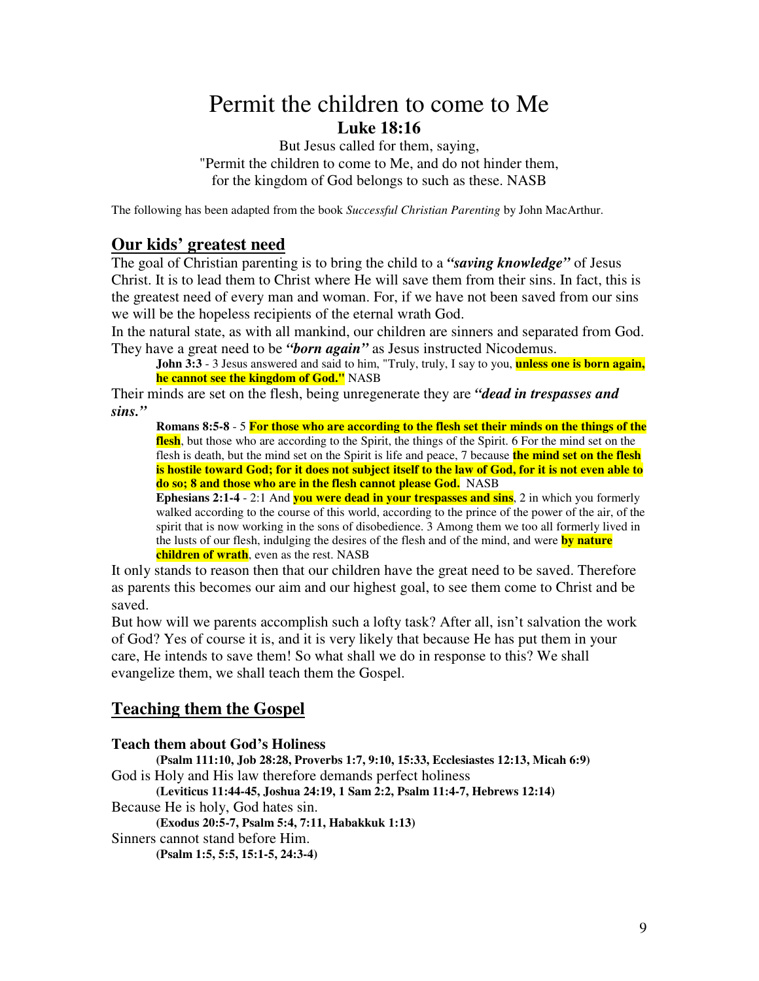# Permit the children to come to Me **Luke 18:16**

But Jesus called for them, saying, "Permit the children to come to Me, and do not hinder them, for the kingdom of God belongs to such as these. NASB

The following has been adapted from the book *Successful Christian Parenting* by John MacArthur.

# **Our kids' greatest need**

The goal of Christian parenting is to bring the child to a *"saving knowledge"* of Jesus Christ. It is to lead them to Christ where He will save them from their sins. In fact, this is the greatest need of every man and woman. For, if we have not been saved from our sins we will be the hopeless recipients of the eternal wrath God.

In the natural state, as with all mankind, our children are sinners and separated from God. They have a great need to be *"born again"* as Jesus instructed Nicodemus.

**John 3:3** - 3 Jesus answered and said to him, "Truly, truly, I say to you, **unless one is born again, he cannot see the kingdom of God."** NASB

Their minds are set on the flesh, being unregenerate they are *"dead in trespasses and sins."*

**Romans 8:5-8** - 5 **For those who are according to the flesh set their minds on the things of the flesh**, but those who are according to the Spirit, the things of the Spirit. 6 For the mind set on the flesh is death, but the mind set on the Spirit is life and peace, 7 because **the mind set on the flesh** is hostile toward God; for it does not subject itself to the law of God, for it is not even able to **do so; 8 and those who are in the flesh cannot please God.** NASB

**Ephesians 2:1-4** - 2:1 And **you were dead in your trespasses and sins**, 2 in which you formerly walked according to the course of this world, according to the prince of the power of the air, of the spirit that is now working in the sons of disobedience. 3 Among them we too all formerly lived in the lusts of our flesh, indulging the desires of the flesh and of the mind, and were **by nature children of wrath**, even as the rest. NASB

It only stands to reason then that our children have the great need to be saved. Therefore as parents this becomes our aim and our highest goal, to see them come to Christ and be saved.

But how will we parents accomplish such a lofty task? After all, isn't salvation the work of God? Yes of course it is, and it is very likely that because He has put them in your care, He intends to save them! So what shall we do in response to this? We shall evangelize them, we shall teach them the Gospel.

# **Teaching them the Gospel**

# **Teach them about God's Holiness**

**(Psalm 111:10, Job 28:28, Proverbs 1:7, 9:10, 15:33, Ecclesiastes 12:13, Micah 6:9)** God is Holy and His law therefore demands perfect holiness

**(Leviticus 11:44-45, Joshua 24:19, 1 Sam 2:2, Psalm 11:4-7, Hebrews 12:14)**

Because He is holy, God hates sin.

**(Exodus 20:5-7, Psalm 5:4, 7:11, Habakkuk 1:13)**

Sinners cannot stand before Him.

**(Psalm 1:5, 5:5, 15:1-5, 24:3-4)**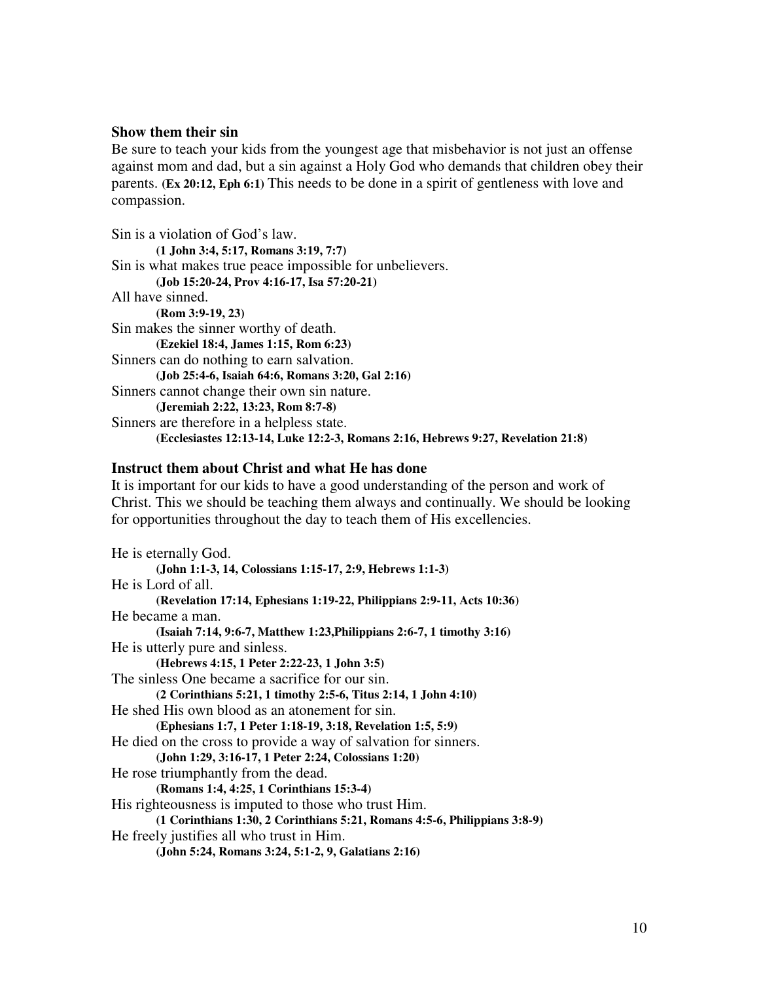## **Show them their sin**

Be sure to teach your kids from the youngest age that misbehavior is not just an offense against mom and dad, but a sin against a Holy God who demands that children obey their parents. **(Ex 20:12, Eph 6:1)** This needs to be done in a spirit of gentleness with love and compassion.

Sin is a violation of God's law. **(1 John 3:4, 5:17, Romans 3:19, 7:7)** Sin is what makes true peace impossible for unbelievers. **(Job 15:20-24, Prov 4:16-17, Isa 57:20-21)** All have sinned. **(Rom 3:9-19, 23)** Sin makes the sinner worthy of death. **(Ezekiel 18:4, James 1:15, Rom 6:23)** Sinners can do nothing to earn salvation. **(Job 25:4-6, Isaiah 64:6, Romans 3:20, Gal 2:16)** Sinners cannot change their own sin nature. **(Jeremiah 2:22, 13:23, Rom 8:7-8)** Sinners are therefore in a helpless state. **(Ecclesiastes 12:13-14, Luke 12:2-3, Romans 2:16, Hebrews 9:27, Revelation 21:8)**

#### **Instruct them about Christ and what He has done**

It is important for our kids to have a good understanding of the person and work of Christ. This we should be teaching them always and continually. We should be looking for opportunities throughout the day to teach them of His excellencies.

He is eternally God. **(John 1:1-3, 14, Colossians 1:15-17, 2:9, Hebrews 1:1-3)** He is Lord of all. **(Revelation 17:14, Ephesians 1:19-22, Philippians 2:9-11, Acts 10:36)** He became a man. **(Isaiah 7:14, 9:6-7, Matthew 1:23,Philippians 2:6-7, 1 timothy 3:16)** He is utterly pure and sinless. **(Hebrews 4:15, 1 Peter 2:22-23, 1 John 3:5)** The sinless One became a sacrifice for our sin. **(2 Corinthians 5:21, 1 timothy 2:5-6, Titus 2:14, 1 John 4:10)** He shed His own blood as an atonement for sin. **(Ephesians 1:7, 1 Peter 1:18-19, 3:18, Revelation 1:5, 5:9)** He died on the cross to provide a way of salvation for sinners. **(John 1:29, 3:16-17, 1 Peter 2:24, Colossians 1:20)** He rose triumphantly from the dead. **(Romans 1:4, 4:25, 1 Corinthians 15:3-4)** His righteousness is imputed to those who trust Him. **(1 Corinthians 1:30, 2 Corinthians 5:21, Romans 4:5-6, Philippians 3:8-9)** He freely justifies all who trust in Him. **(John 5:24, Romans 3:24, 5:1-2, 9, Galatians 2:16)**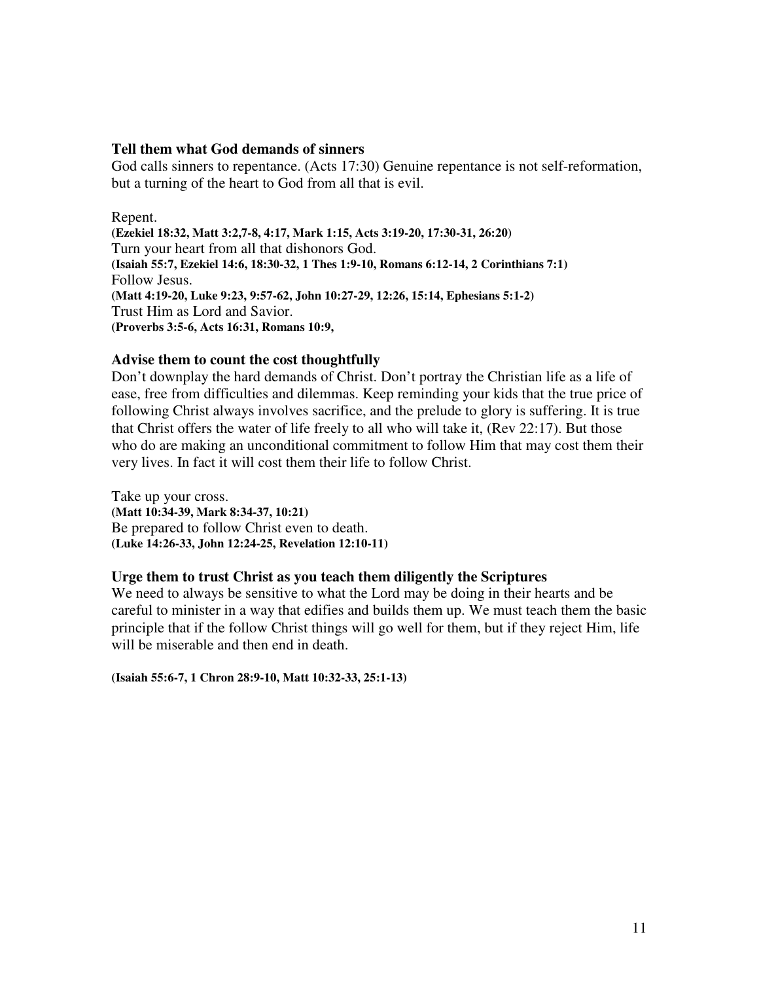## **Tell them what God demands of sinners**

God calls sinners to repentance. (Acts 17:30) Genuine repentance is not self-reformation, but a turning of the heart to God from all that is evil.

Repent. **(Ezekiel 18:32, Matt 3:2,7-8, 4:17, Mark 1:15, Acts 3:19-20, 17:30-31, 26:20)** Turn your heart from all that dishonors God. **(Isaiah 55:7, Ezekiel 14:6, 18:30-32, 1 Thes 1:9-10, Romans 6:12-14, 2 Corinthians 7:1)** Follow Jesus. **(Matt 4:19-20, Luke 9:23, 9:57-62, John 10:27-29, 12:26, 15:14, Ephesians 5:1-2)** Trust Him as Lord and Savior. **(Proverbs 3:5-6, Acts 16:31, Romans 10:9,**

# **Advise them to count the cost thoughtfully**

Don't downplay the hard demands of Christ. Don't portray the Christian life as a life of ease, free from difficulties and dilemmas. Keep reminding your kids that the true price of following Christ always involves sacrifice, and the prelude to glory is suffering. It is true that Christ offers the water of life freely to all who will take it, (Rev 22:17). But those who do are making an unconditional commitment to follow Him that may cost them their very lives. In fact it will cost them their life to follow Christ.

Take up your cross. **(Matt 10:34-39, Mark 8:34-37, 10:21)** Be prepared to follow Christ even to death. **(Luke 14:26-33, John 12:24-25, Revelation 12:10-11)**

## **Urge them to trust Christ as you teach them diligently the Scriptures**

We need to always be sensitive to what the Lord may be doing in their hearts and be careful to minister in a way that edifies and builds them up. We must teach them the basic principle that if the follow Christ things will go well for them, but if they reject Him, life will be miserable and then end in death.

**(Isaiah 55:6-7, 1 Chron 28:9-10, Matt 10:32-33, 25:1-13)**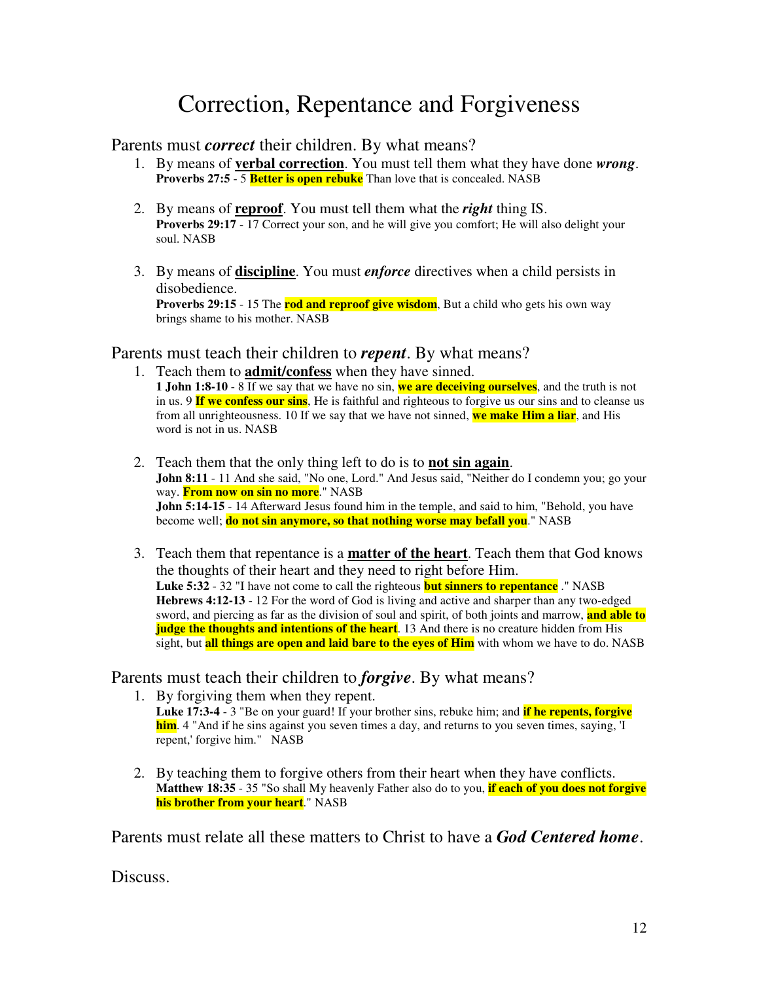# Correction, Repentance and Forgiveness

# Parents must *correct* their children. By what means?

- 1. By means of **verbal correction**. You must tell them what they have done *wrong*. **Proverbs** 27:5 - 5 **Better is open rebuke** Than love that is concealed. NASB
- 2. By means of **reproof**. You must tell them what the *right* thing IS. **Proverbs 29:17** - 17 Correct your son, and he will give you comfort; He will also delight your soul. NASB
- 3. By means of **discipline**. You must *enforce* directives when a child persists in disobedience.

**Proverbs** 29:15 - 15 The **rod and reproof give wisdom**, But a child who gets his own way brings shame to his mother. NASB

# Parents must teach their children to *repent*. By what means?

- 1. Teach them to **admit/confess** when they have sinned. **1 John 1:8-10** - 8 If we say that we have no sin, **we are deceiving ourselves**, and the truth is not in us. 9 **If we confess our sins**, He is faithful and righteous to forgive us our sins and to cleanse us from all unrighteousness. 10 If we say that we have not sinned, **we make Him a liar**, and His word is not in us. NASB
- 2. Teach them that the only thing left to do is to **not sin again**. **John 8:11** - 11 And she said, "No one, Lord." And Jesus said, "Neither do I condemn you; go your way. **From now on sin no more**." NASB **John 5:14-15** - 14 Afterward Jesus found him in the temple, and said to him, "Behold, you have become well; **do not sin anymore, so that nothing worse may befall you**." NASB
- 3. Teach them that repentance is a **matter of the heart**. Teach them that God knows the thoughts of their heart and they need to right before Him. **Luke 5:32** - 32 "I have not come to call the righteous **but sinners to repentance** ." NASB **Hebrews 4:12-13** - 12 For the word of God is living and active and sharper than any two-edged sword, and piercing as far as the division of soul and spirit, of both joints and marrow, **and able to judge the thoughts and intentions of the heart.** 13 And there is no creature hidden from His sight, but **all things are open and laid bare to the eyes of Him** with whom we have to do. NASB

# Parents must teach their children to *forgive*. By what means?

- 1. By forgiving them when they repent. **Luke 17:3-4** - 3 "Be on your guard! If your brother sins, rebuke him; and **if he repents, forgive him**. 4 "And if he sins against you seven times a day, and returns to you seven times, saying, 'I repent,' forgive him." NASB
- 2. By teaching them to forgive others from their heart when they have conflicts. **Matthew 18:35** - 35 "So shall My heavenly Father also do to you, **if each of you does not forgive his brother from your heart**." NASB

Parents must relate all these matters to Christ to have a *God Centered home*.

Discuss.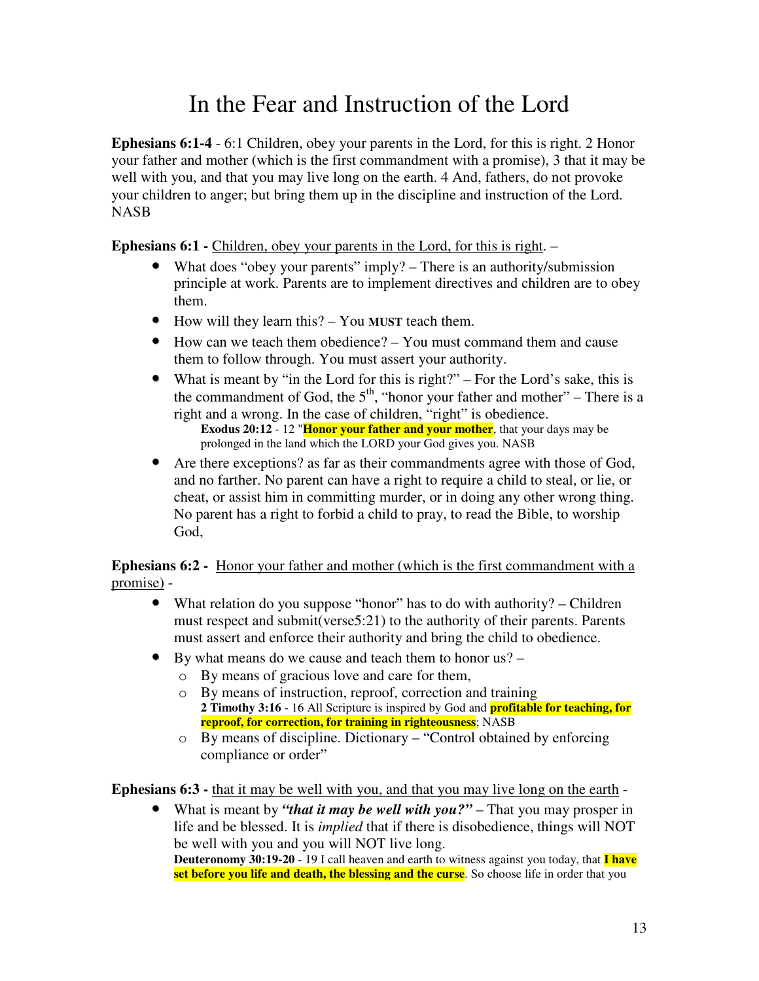# In the Fear and Instruction of the Lord

**Ephesians 6:1-4** - 6:1 Children, obey your parents in the Lord, for this is right. 2 Honor your father and mother (which is the first commandment with a promise), 3 that it may be well with you, and that you may live long on the earth. 4 And, fathers, do not provoke your children to anger; but bring them up in the discipline and instruction of the Lord. NASB

**Ephesians 6:1 -** Children, obey your parents in the Lord, for this is right. –

- What does "obey your parents" imply? There is an authority/submission principle at work. Parents are to implement directives and children are to obey them.
- How will they learn this? You **MUST** teach them.
- How can we teach them obedience? You must command them and cause them to follow through. You must assert your authority.
- What is meant by "in the Lord for this is right?" For the Lord's sake, this is the commandment of God, the  $5<sup>th</sup>$ , "honor your father and mother" – There is a right and a wrong. In the case of children, "right" is obedience.

**Exodus 20:12** - 12 "**Honor your father and your mother**, that your days may be prolonged in the land which the LORD your God gives you. NASB

• Are there exceptions? as far as their commandments agree with those of God, and no farther. No parent can have a right to require a child to steal, or lie, or cheat, or assist him in committing murder, or in doing any other wrong thing. No parent has a right to forbid a child to pray, to read the Bible, to worship God,

**Ephesians 6:2 -** Honor your father and mother (which is the first commandment with a promise) -

- What relation do you suppose "honor" has to do with authority? Children must respect and submit(verse5:21) to the authority of their parents. Parents must assert and enforce their authority and bring the child to obedience.
- By what means do we cause and teach them to honor us?
	- o By means of gracious love and care for them,
	- o By means of instruction, reproof, correction and training **2 Timothy 3:16** - 16 All Scripture is inspired by God and **profitable for teaching, for reproof, for correction, for training in righteousness**; NASB
	- o By means of discipline. Dictionary "Control obtained by enforcing compliance or order"

**Ephesians 6:3 -** that it may be well with you, and that you may live long on the earth -

• What is meant by *"that it may be well with you?"* – That you may prosper in life and be blessed. It is *implied* that if there is disobedience, things will NOT be well with you and you will NOT live long. **Deuteronomy 30:19-20** - 19 I call heaven and earth to witness against you today, that **I have set before you life and death, the blessing and the curse**. So choose life in order that you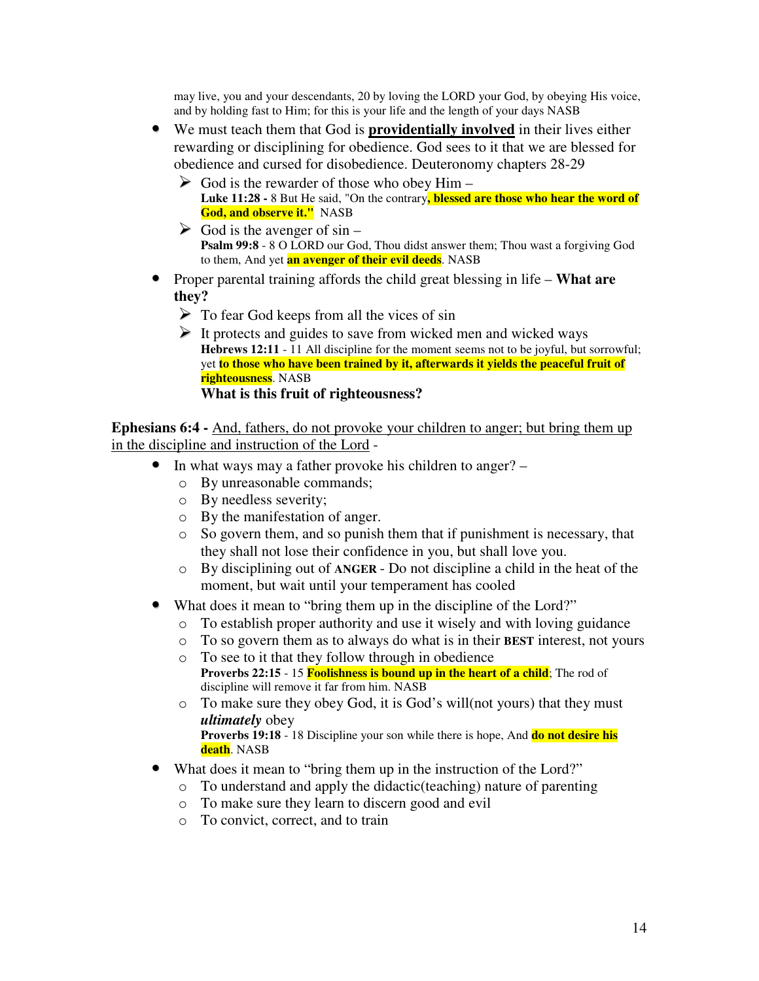may live, you and your descendants, 20 by loving the LORD your God, by obeying His voice, and by holding fast to Him; for this is your life and the length of your days NASB

- We must teach them that God is **providentially involved** in their lives either rewarding or disciplining for obedience. God sees to it that we are blessed for obedience and cursed for disobedience. Deuteronomy chapters 28-29
	- $\triangleright$  God is the rewarder of those who obey Him **Luke 11:28 -** 8 But He said, "On the contrary**, blessed are those who hear the word of God, and observe it."** NASB
	- $\triangleright$  God is the avenger of sin **Psalm 99:8** - 8 O LORD our God, Thou didst answer them; Thou wast a forgiving God to them, And yet **an avenger of their evil deeds**. NASB
- Proper parental training affords the child great blessing in life **What are they?**
	- $\triangleright$  To fear God keeps from all the vices of sin
	- $\triangleright$  It protects and guides to save from wicked men and wicked ways **Hebrews 12:11** - 11 All discipline for the moment seems not to be joyful, but sorrowful; yet **to those who have been trained by it, afterwards it yields the peaceful fruit of righteousness**. NASB **What is this fruit of righteousness?**

**Ephesians 6:4 -** And, fathers, do not provoke your children to anger; but bring them up in the discipline and instruction of the Lord -

- In what ways may a father provoke his children to anger?
	- o By unreasonable commands;
	- o By needless severity;
	- o By the manifestation of anger.
	- o So govern them, and so punish them that if punishment is necessary, that they shall not lose their confidence in you, but shall love you.
	- o By disciplining out of **ANGER** Do not discipline a child in the heat of the moment, but wait until your temperament has cooled
- What does it mean to "bring them up in the discipline of the Lord?"
	- o To establish proper authority and use it wisely and with loving guidance
	- o To so govern them as to always do what is in their **BEST** interest, not yours
	- o To see to it that they follow through in obedience **Proverbs 22:15** - 15 **Foolishness is bound up in the heart of a child**; The rod of discipline will remove it far from him. NASB
	- o To make sure they obey God, it is God's will(not yours) that they must *ultimately* obey **Proverbs 19:18** - 18 Discipline your son while there is hope, And **do not desire his death**. NASB
- What does it mean to "bring them up in the instruction of the Lord?"
	- o To understand and apply the didactic(teaching) nature of parenting
	- o To make sure they learn to discern good and evil
	- o To convict, correct, and to train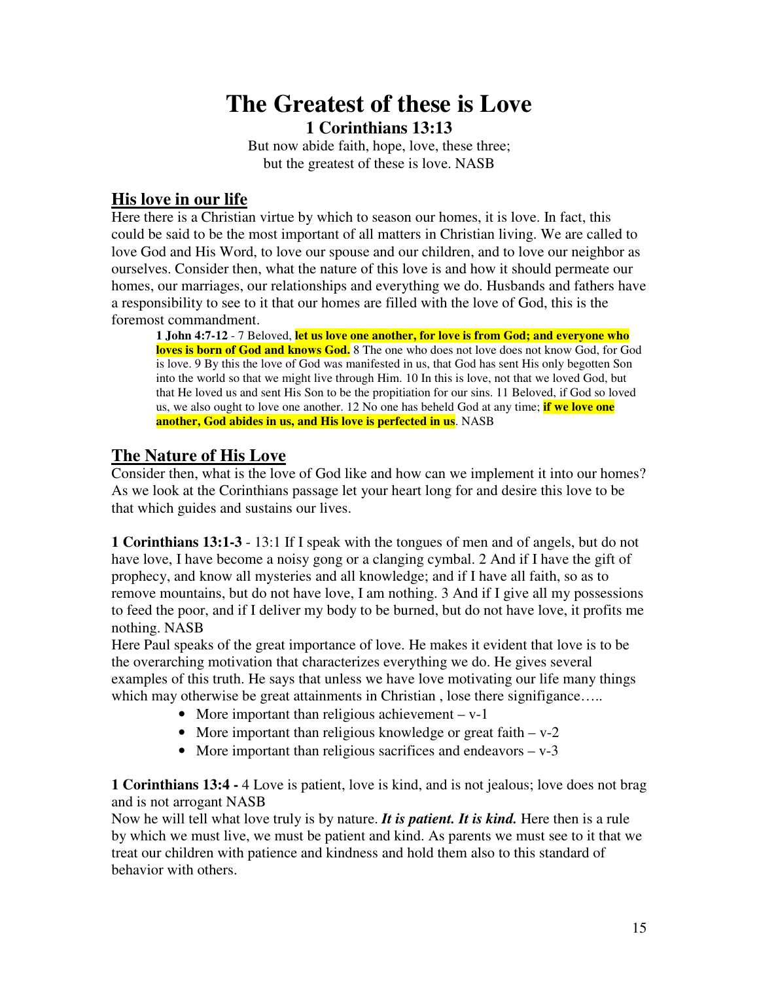# **The Greatest of these is Love 1 Corinthians 13:13**

But now abide faith, hope, love, these three; but the greatest of these is love. NASB

# **His love in our life**

Here there is a Christian virtue by which to season our homes, it is love. In fact, this could be said to be the most important of all matters in Christian living. We are called to love God and His Word, to love our spouse and our children, and to love our neighbor as ourselves. Consider then, what the nature of this love is and how it should permeate our homes, our marriages, our relationships and everything we do. Husbands and fathers have a responsibility to see to it that our homes are filled with the love of God, this is the foremost commandment.

**1 John 4:7-12** - 7 Beloved, **let us love one another, for love is from God; and everyone who loves is born of God and knows God.** 8 The one who does not love does not know God, for God is love. 9 By this the love of God was manifested in us, that God has sent His only begotten Son into the world so that we might live through Him. 10 In this is love, not that we loved God, but that He loved us and sent His Son to be the propitiation for our sins. 11 Beloved, if God so loved us, we also ought to love one another. 12 No one has beheld God at any time; **if we love one another, God abides in us, and His love is perfected in us**. NASB

# **The Nature of His Love**

Consider then, what is the love of God like and how can we implement it into our homes? As we look at the Corinthians passage let your heart long for and desire this love to be that which guides and sustains our lives.

**1 Corinthians 13:1-3** - 13:1 If I speak with the tongues of men and of angels, but do not have love, I have become a noisy gong or a clanging cymbal. 2 And if I have the gift of prophecy, and know all mysteries and all knowledge; and if I have all faith, so as to remove mountains, but do not have love, I am nothing. 3 And if I give all my possessions to feed the poor, and if I deliver my body to be burned, but do not have love, it profits me nothing. NASB

Here Paul speaks of the great importance of love. He makes it evident that love is to be the overarching motivation that characterizes everything we do. He gives several examples of this truth. He says that unless we have love motivating our life many things which may otherwise be great attainments in Christian, lose there signifigance.....

- More important than religious achievement v-1
- More important than religious knowledge or great faith  $v 2$
- More important than religious sacrifices and endeavors  $v 3$

**1 Corinthians 13:4 -** 4 Love is patient, love is kind, and is not jealous; love does not brag and is not arrogant NASB

Now he will tell what love truly is by nature. *It is patient. It is kind.* Here then is a rule by which we must live, we must be patient and kind. As parents we must see to it that we treat our children with patience and kindness and hold them also to this standard of behavior with others.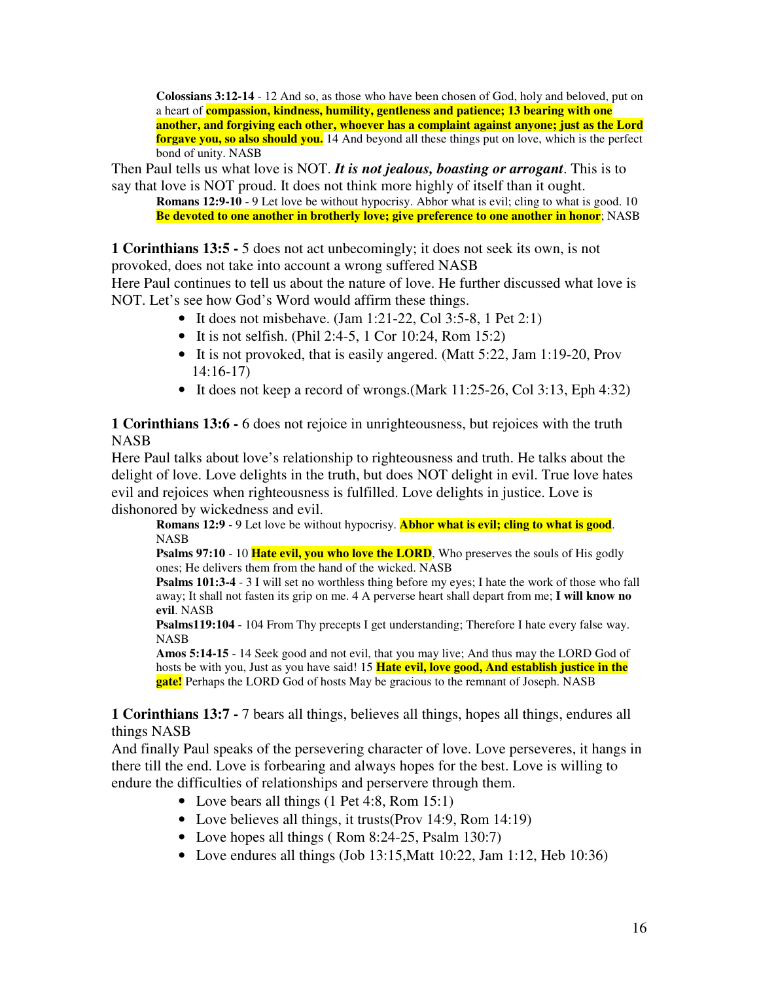**Colossians 3:12-14** - 12 And so, as those who have been chosen of God, holy and beloved, put on a heart of **compassion, kindness, humility, gentleness and patience; 13 bearing with one another, and forgiving each other, whoever has a complaint against anyone; just as the Lord forgave you, so also should you.** 14 And beyond all these things put on love, which is the perfect bond of unity. NASB

Then Paul tells us what love is NOT. *It is not jealous, boasting or arrogant*. This is to say that love is NOT proud. It does not think more highly of itself than it ought.

**Romans 12:9-10** - 9 Let love be without hypocrisy. Abhor what is evil; cling to what is good. 10 **Be devoted to one another in brotherly love; give preference to one another in honor**; NASB

**1 Corinthians 13:5 -** 5 does not act unbecomingly; it does not seek its own, is not provoked, does not take into account a wrong suffered NASB

Here Paul continues to tell us about the nature of love. He further discussed what love is NOT. Let's see how God's Word would affirm these things.

- It does not misbehave. (Jam 1:21-22, Col 3:5-8, 1 Pet 2:1)
- It is not selfish. (Phil 2:4-5, 1 Cor 10:24, Rom  $15:2$ )
- It is not provoked, that is easily angered. (Matt 5:22, Jam 1:19-20, Prov 14:16-17)
- It does not keep a record of wrongs. (Mark 11:25-26, Col 3:13, Eph 4:32)

**1 Corinthians 13:6 -** 6 does not rejoice in unrighteousness, but rejoices with the truth NASB

Here Paul talks about love's relationship to righteousness and truth. He talks about the delight of love. Love delights in the truth, but does NOT delight in evil. True love hates evil and rejoices when righteousness is fulfilled. Love delights in justice. Love is dishonored by wickedness and evil.

**Romans 12:9** - 9 Let love be without hypocrisy. **Abhor what is evil; cling to what is good**. **NASB** 

**Psalms 97:10** - 10 **Hate evil, you who love the LORD**, Who preserves the souls of His godly ones; He delivers them from the hand of the wicked. NASB

**Psalms 101:3-4** - 3 I will set no worthless thing before my eyes; I hate the work of those who fall away; It shall not fasten its grip on me. 4 A perverse heart shall depart from me; **I will know no evil**. NASB

**Psalms119:104** - 104 From Thy precepts I get understanding; Therefore I hate every false way. NASB

**Amos 5:14-15** - 14 Seek good and not evil, that you may live; And thus may the LORD God of hosts be with you, Just as you have said! 15 **Hate evil, love good, And establish justice in the gate!** Perhaps the LORD God of hosts May be gracious to the remnant of Joseph. NASB

**1 Corinthians 13:7 -** 7 bears all things, believes all things, hopes all things, endures all things NASB

And finally Paul speaks of the persevering character of love. Love perseveres, it hangs in there till the end. Love is forbearing and always hopes for the best. Love is willing to endure the difficulties of relationships and perservere through them.

- Love bears all things (1 Pet 4:8, Rom 15:1)
- Love believes all things, it trusts (Prov 14:9, Rom 14:19)
- Love hopes all things ( Rom 8:24-25, Psalm 130:7)
- Love endures all things (Job 13:15, Matt 10:22, Jam 1:12, Heb 10:36)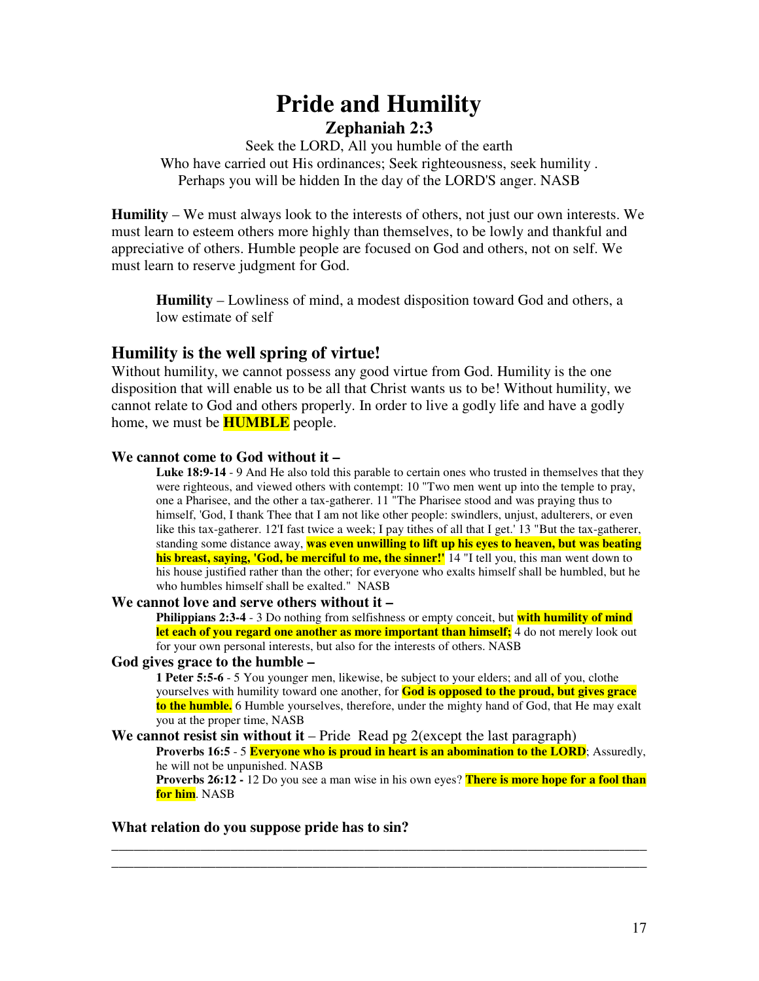# **Pride and Humility Zephaniah 2:3**

Seek the LORD, All you humble of the earth Who have carried out His ordinances; Seek righteousness, seek humility . Perhaps you will be hidden In the day of the LORD'S anger. NASB

**Humility** – We must always look to the interests of others, not just our own interests. We must learn to esteem others more highly than themselves, to be lowly and thankful and appreciative of others. Humble people are focused on God and others, not on self. We must learn to reserve judgment for God.

**Humility** – Lowliness of mind, a modest disposition toward God and others, a low estimate of self

# **Humility is the well spring of virtue!**

Without humility, we cannot possess any good virtue from God. Humility is the one disposition that will enable us to be all that Christ wants us to be! Without humility, we cannot relate to God and others properly. In order to live a godly life and have a godly home, we must be **HUMBLE** people.

## **We cannot come to God without it –**

**Luke 18:9-14** - 9 And He also told this parable to certain ones who trusted in themselves that they were righteous, and viewed others with contempt: 10 "Two men went up into the temple to pray, one a Pharisee, and the other a tax-gatherer. 11 "The Pharisee stood and was praying thus to himself, 'God, I thank Thee that I am not like other people: swindlers, unjust, adulterers, or even like this tax-gatherer. 12'I fast twice a week; I pay tithes of all that I get.'13 "But the tax-gatherer, standing some distance away, **was even unwilling to lift up his eyes to heaven, but was beating his breast, saying, 'God, be merciful to me, the sinner!'**14 "I tell you, this man went down to his house justified rather than the other; for everyone who exalts himself shall be humbled, but he who humbles himself shall be exalted." NASB

# **We cannot love and serve others without it –**

**Philippians 2:3-4** - 3 Do nothing from selfishness or empty conceit, but **with humility of mind let each of you regard one another as more important than himself;** 4 do not merely look out for your own personal interests, but also for the interests of others. NASB

## **God gives grace to the humble –**

**1 Peter 5:5-6** - 5 You younger men, likewise, be subject to your elders; and all of you, clothe yourselves with humility toward one another, for **God is opposed to the proud, but gives grace to the humble.** 6 Humble yourselves, therefore, under the mighty hand of God, that He may exalt you at the proper time, NASB

### **We cannot resist sin without it** – Pride Read pg 2(except the last paragraph)

**Proverbs 16:5** - 5 **Everyone who is proud in heart is an abomination to the LORD**; Assuredly, he will not be unpunished. NASB

**Proverbs 26:12 -** 12 Do you see a man wise in his own eyes? **There is more hope for a fool than for him**. NASB

**\_\_\_\_\_\_\_\_\_\_\_\_\_\_\_\_\_\_\_\_\_\_\_\_\_\_\_\_\_\_\_\_\_\_\_\_\_\_\_\_\_\_\_\_\_\_\_\_\_\_\_\_\_\_\_\_\_\_\_\_\_\_\_\_\_\_\_\_\_\_\_\_ \_\_\_\_\_\_\_\_\_\_\_\_\_\_\_\_\_\_\_\_\_\_\_\_\_\_\_\_\_\_\_\_\_\_\_\_\_\_\_\_\_\_\_\_\_\_\_\_\_\_\_\_\_\_\_\_\_\_\_\_\_\_\_\_\_\_\_\_\_\_\_\_**

# **What relation do you suppose pride has to sin?**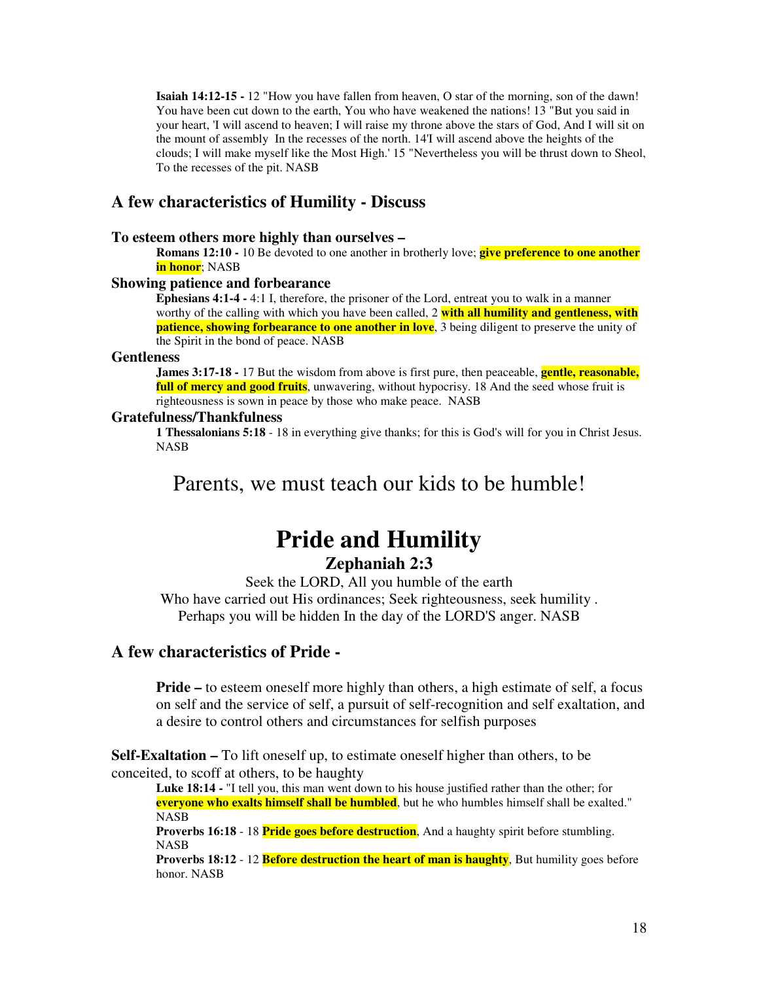**Isaiah 14:12-15 -** 12 "How you have fallen from heaven, O star of the morning, son of the dawn! You have been cut down to the earth, You who have weakened the nations! 13 "But you said in your heart, 'I will ascend to heaven; I will raise my throne above the stars of God, And I will sit on the mount of assembly In the recesses of the north. 14'I will ascend above the heights of the clouds; I will make myself like the Most High.'15 "Nevertheless you will be thrust down to Sheol, To the recesses of the pit. NASB

# **A few characteristics of Humility - Discuss**

#### **To esteem others more highly than ourselves –**

**Romans 12:10 -** 10 Be devoted to one another in brotherly love; **give preference to one another in honor**; NASB

#### **Showing patience and forbearance**

**Ephesians 4:1-4 -** 4:1 I, therefore, the prisoner of the Lord, entreat you to walk in a manner worthy of the calling with which you have been called, 2 **with all humility and gentleness, with patience, showing forbearance to one another in love**, 3 being diligent to preserve the unity of the Spirit in the bond of peace. NASB

#### **Gentleness**

**James 3:17-18 -** 17 But the wisdom from above is first pure, then peaceable, **gentle, reasonable, full of mercy and good fruits**, unwavering, without hypocrisy. 18 And the seed whose fruit is righteousness is sown in peace by those who make peace. NASB

#### **Gratefulness/Thankfulness**

**1 Thessalonians 5:18** - 18 in everything give thanks; for this is God's will for you in Christ Jesus. NASB

# Parents, we must teach our kids to be humble!

# **Pride and Humility Zephaniah 2:3**

Seek the LORD, All you humble of the earth Who have carried out His ordinances; Seek righteousness, seek humility . Perhaps you will be hidden In the day of the LORD'S anger. NASB

# **A few characteristics of Pride -**

**Pride** – to esteem oneself more highly than others, a high estimate of self, a focus on self and the service of self, a pursuit of self-recognition and self exaltation, and a desire to control others and circumstances for selfish purposes

**Self-Exaltation –** To lift oneself up, to estimate oneself higher than others, to be conceited, to scoff at others, to be haughty

**Luke 18:14 -** "I tell you, this man went down to his house justified rather than the other; for **everyone who exalts himself shall be humbled**, but he who humbles himself shall be exalted." NASB

**Proverbs 16:18** - 18 **Pride goes before destruction**, And a haughty spirit before stumbling. NASB

**Proverbs 18:12** - 12 **Before destruction the heart of man is haughty**, But humility goes before honor. NASB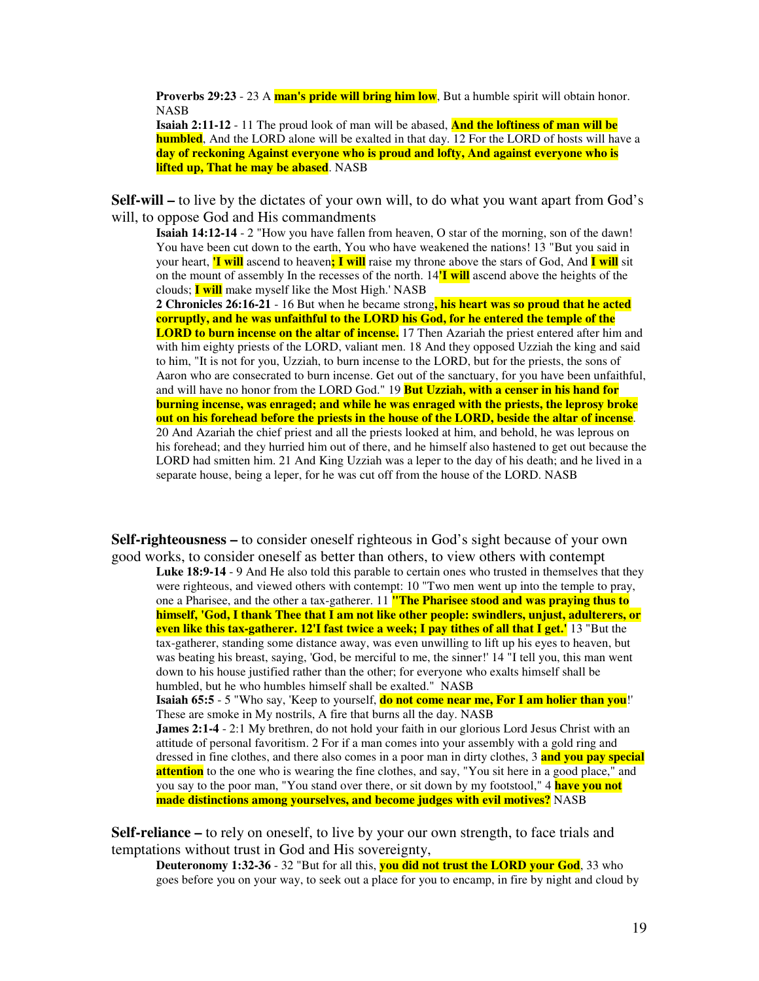**Proverbs 29:23** - 23 A **man's pride will bring him low**, But a humble spirit will obtain honor. NASB

**Isaiah 2:11-12** - 11 The proud look of man will be abased, **And the loftiness of man will be humbled**, And the LORD alone will be exalted in that day. 12 For the LORD of hosts will have a **day of reckoning Against everyone who is proud and lofty, And against everyone who is lifted up, That he may be abased**. NASB

**Self-will –** to live by the dictates of your own will, to do what you want apart from God's will, to oppose God and His commandments

**Isaiah 14:12-14** - 2 "How you have fallen from heaven, O star of the morning, son of the dawn! You have been cut down to the earth, You who have weakened the nations! 13 "But you said in your heart, **'I will** ascend to heaven**; I will** raise my throne above the stars of God, And **I will** sit on the mount of assembly In the recesses of the north. 14**'I will** ascend above the heights of the clouds; **I will** make myself like the Most High.'NASB

**2 Chronicles 26:16-21** - 16 But when he became strong**, his heart was so proud that he acted corruptly, and he was unfaithful to the LORD his God, for he entered the temple of the LORD to burn incense on the altar of incense.** 17 Then Azariah the priest entered after him and with him eighty priests of the LORD, valiant men. 18 And they opposed Uzziah the king and said to him, "It is not for you, Uzziah, to burn incense to the LORD, but for the priests, the sons of Aaron who are consecrated to burn incense. Get out of the sanctuary, for you have been unfaithful, and will have no honor from the LORD God." 19 **But Uzziah, with a censer in his hand for burning incense, was enraged; and while he was enraged with the priests, the leprosy broke out on his forehead before the priests in the house of the LORD, beside the altar of incense**. 20 And Azariah the chief priest and all the priests looked at him, and behold, he was leprous on his forehead; and they hurried him out of there, and he himself also hastened to get out because the LORD had smitten him. 21 And King Uzziah was a leper to the day of his death; and he lived in a separate house, being a leper, for he was cut off from the house of the LORD. NASB

**Self-righteousness –** to consider oneself righteous in God's sight because of your own good works, to consider oneself as better than others, to view others with contempt

**Luke 18:9-14** - 9 And He also told this parable to certain ones who trusted in themselves that they were righteous, and viewed others with contempt: 10 "Two men went up into the temple to pray, one a Pharisee, and the other a tax-gatherer. 11 **"The Pharisee stood and was praying thus to himself, 'God, I thank Thee that I am not like other people: swindlers, unjust, adulterers, or even like this tax-gatherer. 12'I fast twice a week; I pay tithes of all that I get.'**13 "But the tax-gatherer, standing some distance away, was even unwilling to lift up his eyes to heaven, but was beating his breast, saying, 'God, be merciful to me, the sinner!' 14 "I tell you, this man went down to his house justified rather than the other; for everyone who exalts himself shall be humbled, but he who humbles himself shall be exalted." NASB

**Isaiah 65:5** - 5 "Who say, 'Keep to yourself, **do not come near me, For I am holier than you**!' These are smoke in My nostrils, A fire that burns all the day. NASB **James 2:1-4** - 2:1 My brethren, do not hold your faith in our glorious Lord Jesus Christ with an

attitude of personal favoritism. 2 For if a man comes into your assembly with a gold ring and dressed in fine clothes, and there also comes in a poor man in dirty clothes, 3 **and you pay special attention** to the one who is wearing the fine clothes, and say, "You sit here in a good place," and you say to the poor man, "You stand over there, or sit down by my footstool," 4 **have you not made distinctions among yourselves, and become judges with evil motives?** NASB

**Self-reliance –** to rely on oneself, to live by your our own strength, to face trials and temptations without trust in God and His sovereignty,

**Deuteronomy 1:32-36** - 32 "But for all this, **you did not trust the LORD your God**, 33 who goes before you on your way, to seek out a place for you to encamp, in fire by night and cloud by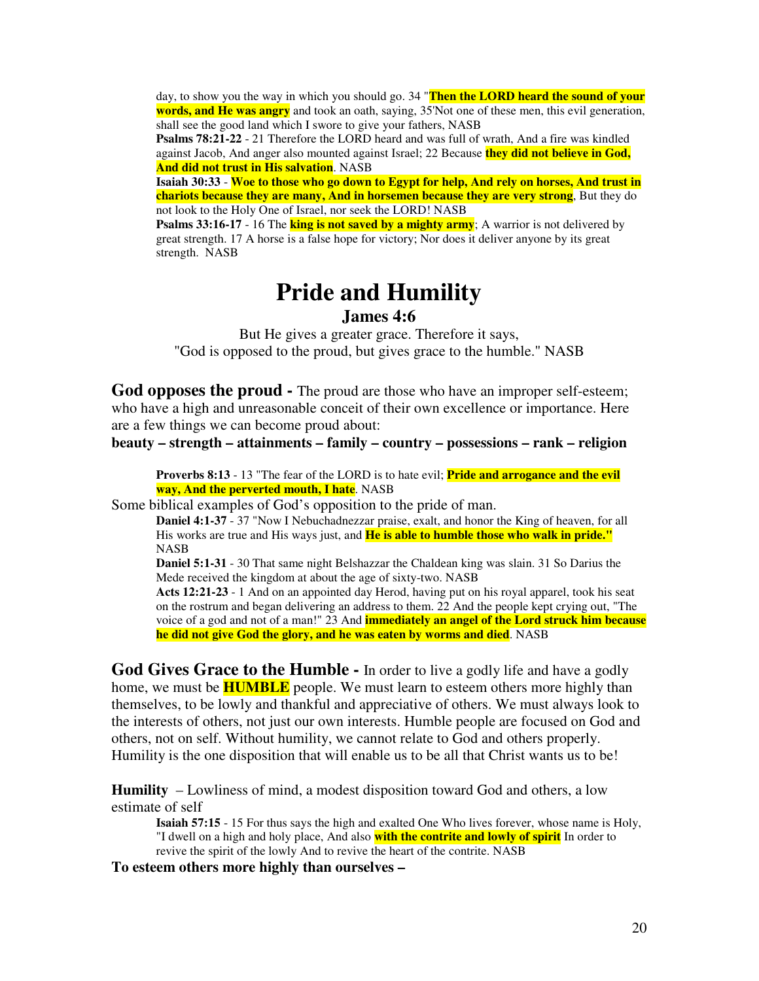day, to show you the way in which you should go. 34 "**Then the LORD heard the sound of your words, and He was angry** and took an oath, saying, 35'Not one of these men, this evil generation, shall see the good land which I swore to give your fathers, NASB

**Psalms 78:21-22** - 21 Therefore the LORD heard and was full of wrath, And a fire was kindled against Jacob, And anger also mounted against Israel; 22 Because **they did not believe in God, And did not trust in His salvation**. NASB

**Isaiah 30:33** - **Woe to those who go down to Egypt for help, And rely on horses, And trust in chariots because they are many, And in horsemen because they are very strong**, But they do not look to the Holy One of Israel, nor seek the LORD! NASB

**Psalms 33:16-17** - 16 The **king is not saved by a mighty army**; A warrior is not delivered by great strength. 17 A horse is a false hope for victory; Nor does it deliver anyone by its great strength. NASB

# **Pride and Humility James 4:6**

But He gives a greater grace. Therefore it says, "God is opposed to the proud, but gives grace to the humble." NASB

**God opposes the proud -** The proud are those who have an improper self-esteem; who have a high and unreasonable conceit of their own excellence or importance. Here are a few things we can become proud about:

**beauty – strength – attainments – family – country – possessions – rank – religion**

**Proverbs 8:13** - 13 "The fear of the LORD is to hate evil; **Pride and arrogance and the evil way, And the perverted mouth, I hate**. NASB

Some biblical examples of God's opposition to the pride of man.

**Daniel 4:1-37** - 37 "Now I Nebuchadnezzar praise, exalt, and honor the King of heaven, for all His works are true and His ways just, and **He is able to humble those who walk in pride."** NASB

**Daniel 5:1-31** - 30 That same night Belshazzar the Chaldean king was slain. 31 So Darius the Mede received the kingdom at about the age of sixty-two. NASB

**Acts 12:21-23** - 1 And on an appointed day Herod, having put on his royal apparel, took his seat on the rostrum and began delivering an address to them. 22 And the people kept crying out, "The voice of a god and not of a man!" 23 And **immediately an angel of the Lord struck him because he did not give God the glory, and he was eaten by worms and died**. NASB

**God Gives Grace to the Humble -** In order to live a godly life and have a godly home, we must be **HUMBLE** people. We must learn to esteem others more highly than themselves, to be lowly and thankful and appreciative of others. We must always look to the interests of others, not just our own interests. Humble people are focused on God and others, not on self. Without humility, we cannot relate to God and others properly. Humility is the one disposition that will enable us to be all that Christ wants us to be!

**Humility** – Lowliness of mind, a modest disposition toward God and others, a low estimate of self

**Isaiah 57:15** - 15 For thus says the high and exalted One Who lives forever, whose name is Holy, "I dwell on a high and holy place, And also **with the contrite and lowly of spirit** In order to revive the spirit of the lowly And to revive the heart of the contrite. NASB

**To esteem others more highly than ourselves –**